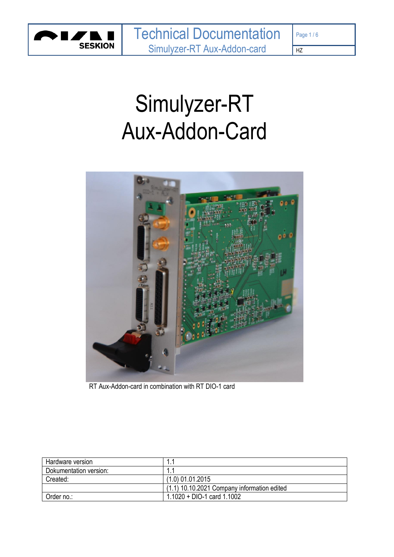

 $HZ$ 

# Simulyzer-RT Aux-Addon-Card



RT Aux-Addon-card in combination with RT DIO-1 card

| Hardware version       |                                             |
|------------------------|---------------------------------------------|
| Dokumentation version: |                                             |
| Created:               | $(1.0)$ 01.01.2015                          |
|                        | (1.1) 10.10.2021 Company information edited |
| Order no.:             | $1.1020 + DIO-1$ card $1.1002$              |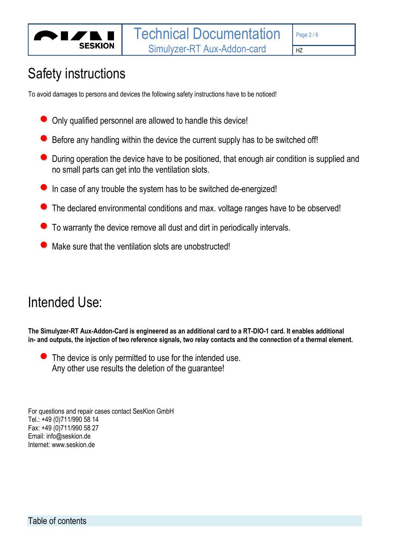

### Safety instructions

To avoid damages to persons and devices the following safety instructions have to be noticed!

- Only qualified personnel are allowed to handle this device!
- Before any handling within the device the current supply has to be switched off!
- During operation the device have to be positioned, that enough air condition is supplied and no small parts can get into the ventilation slots.
- **•** In case of any trouble the system has to be switched de-energized!
- The declared environmental conditions and max. voltage ranges have to be observed!
- To warranty the device remove all dust and dirt in periodically intervals.
- Make sure that the ventilation slots are unobstructed!

### Intended Use:

**The Simulyzer-RT Aux-Addon-Card is engineered as an additional card to a RT-DIO-1 card. It enables additional in- and outputs, the injection of two reference signals, two relay contacts and the connection of a thermal element.** 

The device is only permitted to use for the intended use. Any other use results the deletion of the guarantee!

For questions and repair cases contact SesKion GmbH Tel.: +49 (0)711/990 58 14 Fax: +49 (0)711/990 58 27 Email: info@seskion.de Internet: www.seskion.de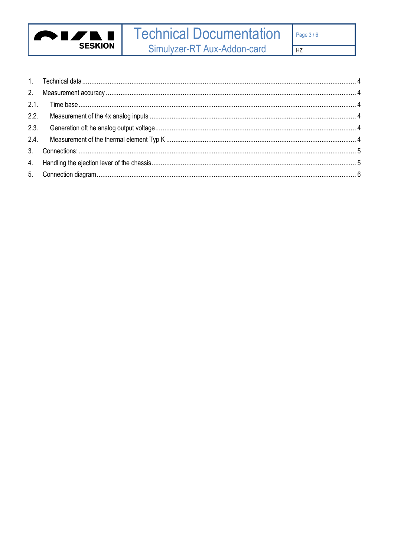

## **Technical Documentation**

Simulyzer-RT Aux-Addon-card

 $HZ$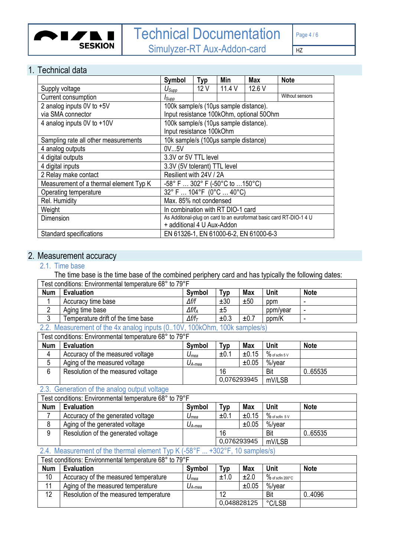

┑

HZ

#### <span id="page-3-0"></span>1. Technical data

|                                        | Symbol                                 | Typ | Min    | <b>Max</b>                               | <b>Note</b>                                                        |  |
|----------------------------------------|----------------------------------------|-----|--------|------------------------------------------|--------------------------------------------------------------------|--|
| Supply voltage                         | $U_{\mathsf{Supp}}$                    | 12V | 11.4 V | 12.6 V                                   |                                                                    |  |
| Current consumption                    | <i>I</i> Supp                          |     |        |                                          | Without sensors                                                    |  |
| 2 analog inputs 0V to +5V              | 100k sample/s (10µs sample distance).  |     |        |                                          |                                                                    |  |
| via SMA connector                      |                                        |     |        | Input resistance 100kOhm, optional 50Ohm |                                                                    |  |
| 4 analog inputs 0V to +10V             | 100k sample/s (10µs sample distance).  |     |        |                                          |                                                                    |  |
|                                        | Input resistance 100kOhm               |     |        |                                          |                                                                    |  |
| Sampling rate all other measurements   | 10k sample/s (100µs sample distance)   |     |        |                                          |                                                                    |  |
| 4 analog outputs                       | 0V5V                                   |     |        |                                          |                                                                    |  |
| 4 digital outputs                      | 3.3V or 5V TTL level                   |     |        |                                          |                                                                    |  |
| 4 digital inputs                       | 3.3V (5V tolerant) TTL level           |     |        |                                          |                                                                    |  |
| 2 Relay make contact                   | Resilient with 24V / 2A                |     |        |                                          |                                                                    |  |
| Measurement of a thermal element Typ K | -58° F  302° F (-50°C to 150°C)        |     |        |                                          |                                                                    |  |
| Operating temperature                  | 32° F  104°F (0°C  40°C)               |     |        |                                          |                                                                    |  |
| Rel. Humidity                          | Max. 85% not condensed                 |     |        |                                          |                                                                    |  |
| Weight                                 | In combination with RT DIO-1 card      |     |        |                                          |                                                                    |  |
| Dimension                              |                                        |     |        |                                          | As Additonal-plug on card to an euroformat basic card RT-DIO-1 4 U |  |
|                                        | + additional 4 U Aux-Addon             |     |        |                                          |                                                                    |  |
| Standard specifications                | EN 61326-1, EN 61000-6-2, EN 61000-6-3 |     |        |                                          |                                                                    |  |

#### <span id="page-3-2"></span><span id="page-3-1"></span>2. Measurement accuracy

#### 2.1. Time base

The time base is the time base of the combined periphery card and has typically the following dates:

|                                                                        | Test conditions: Environmental temperature 68° to 79°F |                   |      |            |          |             |
|------------------------------------------------------------------------|--------------------------------------------------------|-------------------|------|------------|----------|-------------|
| <b>Num</b>                                                             | <b>Evaluation</b>                                      | Symbol            | Typ  | <b>Max</b> | Unit     | <b>Note</b> |
|                                                                        | Accuracy time base                                     | ∆f/f              | ±30  | ±50        | ppm      | -           |
|                                                                        | Aging time base                                        | $\Delta f/f_A$    | ±5   |            | ppm/year | -           |
| ≏<br>J                                                                 | Temperature drift of the time base                     | $\Delta f/f_\tau$ | ±0.3 | ±0.7       | ppm/K    | -           |
| 22 Measurement of the 1y angles inpute (0, 10) (100 Chm, 100 complexe) |                                                        |                   |      |            |          |             |

### <span id="page-3-3"></span>2.2. Measurement of the 4x analog inputs (0..10V, 100kOhm, 100k samples/s)

| Test conditions: Environmental temperature 68° to 79°F |                                    |             |             |       |                   |             |
|--------------------------------------------------------|------------------------------------|-------------|-------------|-------|-------------------|-------------|
| <b>Num</b>                                             | <b>Evaluation</b>                  | Symbol      | Тур         | Max   | <b>Unit</b>       | <b>Note</b> |
| 4                                                      | Accuracy of the measured voltage   | $U_{mea}$   | $\pm 0.1$   | ±0.15 | $\%$ of scfin 5 V |             |
|                                                        | Aging of the measured voltage      | $U_{A-mea}$ |             | ±0.05 | %/vear            |             |
| 6                                                      | Resolution of the measured voltage |             | 16          |       | Bit               | 0.65535     |
|                                                        |                                    |             | 0,076293945 |       | mV/LSB            |             |

#### <span id="page-3-4"></span>2.3. Generation of the analog output voltage

| Test conditions: Environmental temperature 68° to 79°F |                                     |             |             |            |                   |             |
|--------------------------------------------------------|-------------------------------------|-------------|-------------|------------|-------------------|-------------|
| <b>Num</b>                                             | <b>Evaluation</b>                   | Symbol      | Typ T       | <b>Max</b> | Unit              | <b>Note</b> |
|                                                        | Accuracy of the generated voltage   | $U_{mea}$   | ±0.1        | ±0.15      | $\%$ of scfin 5 V |             |
|                                                        | Aging of the generated voltage      | $U_{A-mea}$ |             | ±0.05      | %/vear            |             |
| 9                                                      | Resolution of the generated voltage |             | 16          |            | Bit               | 0.65535     |
|                                                        |                                     |             | 0,076293945 |            | mV/LSB            |             |

#### <span id="page-3-5"></span>2.4. Measurement of the thermal element Typ K (-58°F ... +302°F, 10 samples/s)

#### Test conditions: Environmental temperature 68° to 79°F

| <b>Num</b> | <b>Evaluation</b>                      | <b>Symbol</b>              | тур         | <b>Max</b> | Unit                           | <b>Note</b> |
|------------|----------------------------------------|----------------------------|-------------|------------|--------------------------------|-------------|
| 10         | Accuracy of the measured temperature   | $\bm{\mathsf{\omega}}$ mea | ±1.0        | ±2.0       | $\%$ of scfin 200 $^{\circ}$ C |             |
| 11         | Aging of the measured temperature      | $U_{A-mea}$                |             | ±0.05      | %/year                         |             |
| 12         | Resolution of the measured temperature |                            | 12          |            | Bit                            | 0.4096      |
|            |                                        |                            | 0.048828125 |            | °C/LSB                         |             |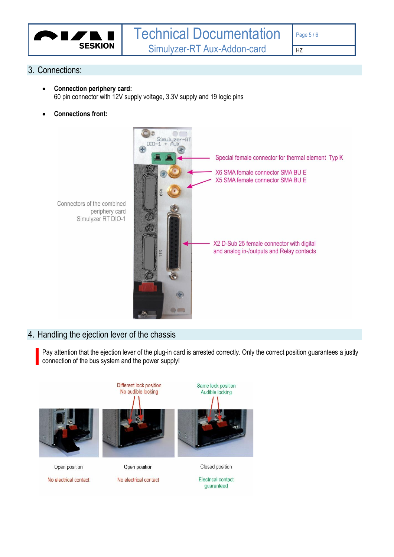

#### <span id="page-4-0"></span>3. Connections:

- **Connection periphery card:** 60 pin connector with 12V supply voltage, 3.3V supply and 19 logic pins
- **Connections front:**



## Simulyzer RT DIO-1

Connectors of the combined

periphery card

#### <span id="page-4-1"></span>4. Handling the ejection lever of the chassis

Pay attention that the ejection lever of the plug-in card is arrested correctly. Only the correct position guarantees a justly connection of the bus system and the power supply!